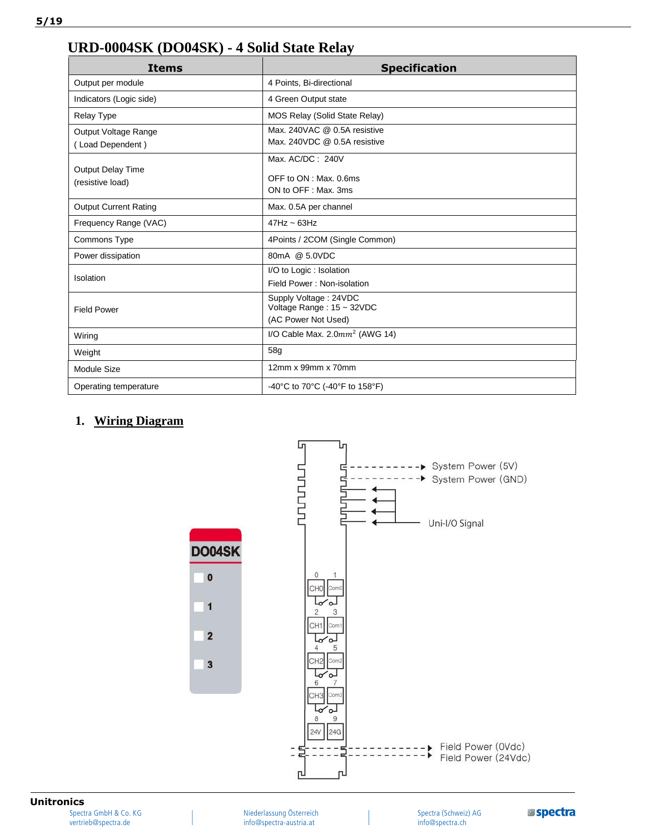## **URD-0004SK (DO04SK) - 4 Solid State Relay**

| <b>Items</b>                                 | <b>Specification</b>                                                      |  |  |
|----------------------------------------------|---------------------------------------------------------------------------|--|--|
| Output per module                            | 4 Points, Bi-directional                                                  |  |  |
| Indicators (Logic side)                      | 4 Green Output state                                                      |  |  |
| <b>Relay Type</b>                            | MOS Relay (Solid State Relay)                                             |  |  |
| Output Voltage Range<br>(Load Dependent)     | Max, 240VAC @ 0.5A resistive<br>Max, 240VDC @ 0.5A resistive              |  |  |
| <b>Output Delay Time</b><br>(resistive load) | Max. AC/DC: 240V<br>OFF to ON : Max. 0.6ms<br>ON to OFF: Max, 3ms         |  |  |
| <b>Output Current Rating</b>                 | Max. 0.5A per channel                                                     |  |  |
| Frequency Range (VAC)                        | $47Hz \sim 63Hz$                                                          |  |  |
| Commons Type                                 | 4Points / 2COM (Single Common)                                            |  |  |
| Power dissipation                            | 80mA @ 5.0VDC                                                             |  |  |
| Isolation                                    | I/O to Logic: Isolation<br>Field Power: Non-isolation                     |  |  |
| <b>Field Power</b>                           | Supply Voltage: 24VDC<br>Voltage Range: 15 ~ 32VDC<br>(AC Power Not Used) |  |  |
| Wiring                                       | I/O Cable Max. $2.0mm^2$ (AWG 14)                                         |  |  |
| Weight                                       | 58g                                                                       |  |  |
| <b>Module Size</b>                           | 12mm x 99mm x 70mm                                                        |  |  |
| Operating temperature                        | -40°C to 70°C (-40°F to 158°F)                                            |  |  |

## **1. Wiring Diagram**



## **Unitronics**

Spectra GmbH & Co. KG vertrieb@spectra.de

Niederlassung Österreich info@spectra-austria.at

Spectra (Schweiz) AG info@spectra.ch